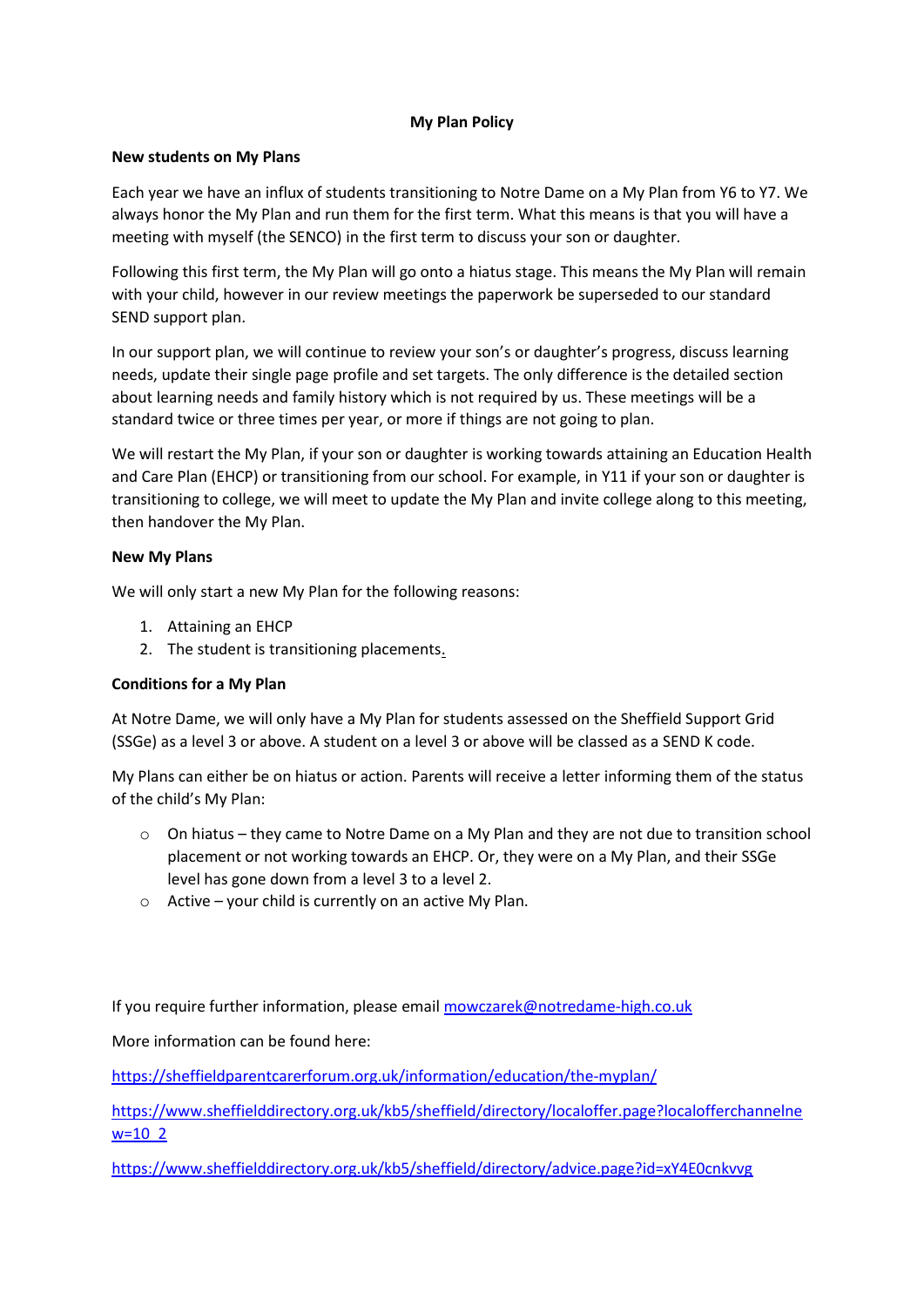## **My Plan Policy**

## **New students on My Plans**

Each year we have an influx of students transitioning to Notre Dame on a My Plan from Y6 to Y7. We always honor the My Plan and run them for the first term. What this means is that you will have a meeting with myself (the SENCO) in the first term to discuss your son or daughter.

Following this first term, the My Plan will go onto a hiatus stage. This means the My Plan will remain with your child, however in our review meetings the paperwork be superseded to our standard SEND support plan.

In our support plan, we will continue to review your son's or daughter's progress, discuss learning needs, update their single page profile and set targets. The only difference is the detailed section about learning needs and family history which is not required by us. These meetings will be a standard twice or three times per year, or more if things are not going to plan.

We will restart the My Plan, if your son or daughter is working towards attaining an Education Health and Care Plan (EHCP) or transitioning from our school. For example, in Y11 if your son or daughter is transitioning to college, we will meet to update the My Plan and invite college along to this meeting, then handover the My Plan.

## **New My Plans**

We will only start a new My Plan for the following reasons:

- 1. Attaining an EHCP
- 2. The student is transitioning placements.

## **Conditions for a My Plan**

At Notre Dame, we will only have a My Plan for students assessed on the Sheffield Support Grid (SSGe) as a level 3 or above. A student on a level 3 or above will be classed as a SEND K code.

My Plans can either be on hiatus or action. Parents will receive a letter informing them of the status of the child's My Plan:

- o On hiatus they came to Notre Dame on a My Plan and they are not due to transition school placement or not working towards an EHCP. Or, they were on a My Plan, and their SSGe level has gone down from a level 3 to a level 2.
- $\circ$  Active your child is currently on an active My Plan.

If you require further information, please email [mowczarek@notredame-high.co.uk](mailto:mowczarek@notredame-high.co.uk)

More information can be found here:

<https://sheffieldparentcarerforum.org.uk/information/education/the-myplan/>

[https://www.sheffielddirectory.org.uk/kb5/sheffield/directory/localoffer.page?localofferchannelne](https://www.sheffielddirectory.org.uk/kb5/sheffield/directory/localoffer.page?localofferchannelnew=10_2)  $w=10$  2

<https://www.sheffielddirectory.org.uk/kb5/sheffield/directory/advice.page?id=xY4E0cnkvvg>